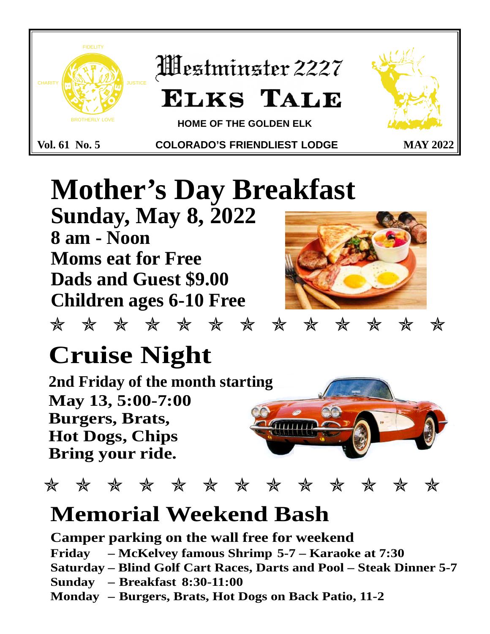

# **Mother's Day Breakfast Sunday, May 8, 2022 8 am - Noon Moms eat for Free Dads and Guest \$9.00 Children ages 6-10 Free**

✯✯✯✯✯✯✯✯✯✯✯✯✯

# **Cruise Night**

**2nd Friday of the month starting May 13, 5:00-7:00 Burgers, Brats, Hot Dogs, Chips Bring your ride.**



✯✯✯✯✯✯✯✯✯✯✯✯✯

# **Memorial Weekend Bash**

**Camper parking on the wall free for weekend**

**Friday – McKelvey famous Shrimp 5-7 – Karaoke at 7:30** 

**Saturday – Blind Golf Cart Races, Darts and Pool – Steak Dinner 5-7**

- **Sunday Breakfast 8:30-11:00**
- **Monday Burgers, Brats, Hot Dogs on Back Patio, 11-2**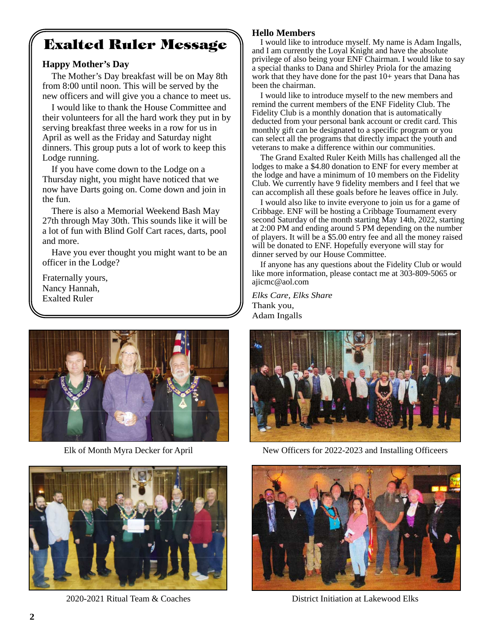# **Exalted Ruler Message**

#### **Happy Mother's Day**

The Mother's Day breakfast will be on May 8th from 8:00 until noon. This will be served by the new officers and will give you a chance to meet us.

I would like to thank the House Committee and their volunteers for all the hard work they put in by serving breakfast three weeks in a row for us in April as well as the Friday and Saturday night dinners. This group puts a lot of work to keep this Lodge running.

If you have come down to the Lodge on a Thursday night, you might have noticed that we now have Darts going on. Come down and join in the fun.

There is also a Memorial Weekend Bash May 27th through May 30th. This sounds like it will be a lot of fun with Blind Golf Cart races, darts, pool and more.

Have you ever thought you might want to be an officer in the Lodge?

Fraternally yours, Nancy Hannah, Exalted Ruler





2020-2021 Ritual Team & Coaches District Initiation at Lakewood Elks

#### **Hello Members**

I would like to introduce myself. My name is Adam Ingalls, and I am currently the Loyal Knight and have the absolute privilege of also being your ENF Chairman. I would like to say a special thanks to Dana and Shirley Priola for the amazing work that they have done for the past  $10+$  years that Dana has been the chairman.

I would like to introduce myself to the new members and remind the current members of the ENF Fidelity Club. The Fidelity Club is a monthly donation that is automatically deducted from your personal bank account or credit card. This monthly gift can be designated to a specific program or you can select all the programs that directly impact the youth and veterans to make a difference within our communities.

The Grand Exalted Ruler Keith Mills has challenged all the lodges to make a \$4.80 donation to ENF for every member at the lodge and have a minimum of 10 members on the Fidelity Club. We currently have 9 fidelity members and I feel that we can accomplish all these goals before he leaves office in July.

I would also like to invite everyone to join us for a game of Cribbage. ENF will be hosting a Cribbage Tournament every second Saturday of the month starting May 14th, 2022, starting at 2:00 PM and ending around 5 PM depending on the number of players. It will be a \$5.00 entry fee and all the money raised will be donated to ENF. Hopefully everyone will stay for dinner served by our House Committee.

If anyone has any questions about the Fidelity Club or would like more information, please contact me at 303-809-5065 or ajicmc@aol.com

*Elks Care, Elks Share* Thank you, Adam Ingalls



Elk of Month Myra Decker for April New Officers for 2022-2023 and Installing Officeers

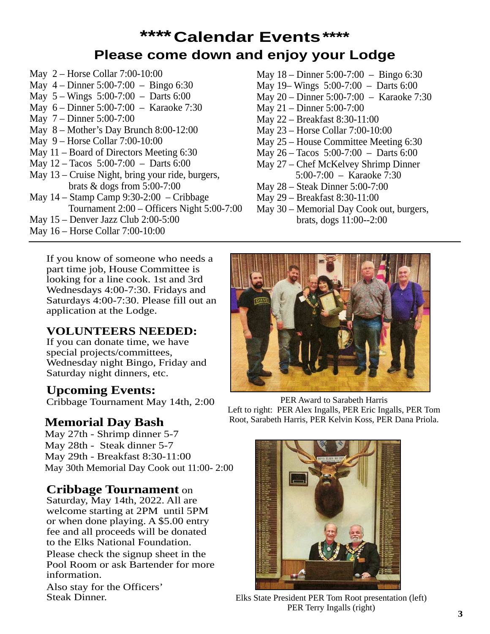# **\*\*\*\*Calendar Events\*\*\*\* Please come down and enjoy your Lodge**

- May 2 Horse Collar 7:00-10:00 May 4 – Dinner 5:00-7:00 – Bingo 6:30 May 5 – Wings 5:00-7:00 – Darts 6:00 May 6 – Dinner 5:00-7:00 – Karaoke 7:30 May 7 – Dinner 5:00-7:00 May 8 – Mother's Day Brunch 8:00-12:00 May 9 – Horse Collar 7:00-10:00 May 11 – Board of Directors Meeting 6:30 May 12 – Tacos 5:00-7:00 – Darts 6:00 May 13 – Cruise Night, bring your ride, burgers, brats & dogs from 5:00-7:00 May 14 – Stamp Camp 9:30-2:00 – Cribbage Tournament 2:00 – Officers Night 5:00-7:00 May 15 – Denver Jazz Club 2:00-5:00
- May 16 Horse Collar 7:00-10:00
- May 18 Dinner 5:00-7:00 Bingo 6:30
- May 19– Wings 5:00-7:00 Darts 6:00
- May 20 Dinner 5:00-7:00 Karaoke 7:30
- May 21 Dinner 5:00-7:00
- May 22 Breakfast 8:30-11:00
- May 23 Horse Collar 7:00-10:00
- May 25 House Committee Meeting 6:30
- May 26 Tacos 5:00-7:00 Darts 6:00
- May 27 Chef McKelvey Shrimp Dinner 5:00-7:00 – Karaoke 7:30
- May 28 Steak Dinner 5:00-7:00
- May 29 Breakfast 8:30-11:00
- May 30 Memorial Day Cook out, burgers, brats, dogs 11:00--2:00

If you know of someone who needs a part time job, House Committee is looking for a line cook. 1st and 3rd Wednesdays 4:00-7:30. Fridays and Saturdays 4:00-7:30. Please fill out an application at the Lodge.

#### **VOLUNTEERS NEEDED:**

If you can donate time, we have special projects/committees, Wednesday night Bingo, Friday and Saturday night dinners, etc.

#### **Upcoming Events:**

Cribbage Tournament May 14th, 2:00

May 27th - Shrimp dinner 5-7 May 28th - Steak dinner 5-7 May 29th - Breakfast 8:30-11:00 May 30th Memorial Day Cook out 11:00- 2:00

#### **Cribbage Tournament** on

Saturday, May 14th, 2022. All are welcome starting at 2PM until 5PM or when done playing. A \$5.00 entry fee and all proceeds will be donated to the Elks National Foundation.

Please check the signup sheet in the Pool Room or ask Bartender for more information.

Also stay for the Officers'<br>Steak Dinner.



PER Award to Sarabeth Harris Left to right: PER Alex Ingalls, PER Eric Ingalls, PER Tom Memorial Day Bash Root, Sarabeth Harris, PER Kelvin Koss, PER Dana Priola.



Elks State President PER Tom Root presentation (left) PER Terry Ingalls (right)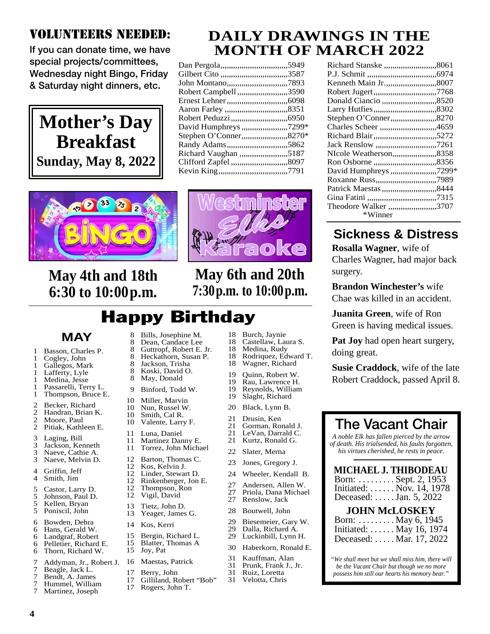## VOLUNTEERS NEEDED:

**If you can donate time, we have special projects/committees, Wednesday night Bingo, Friday & Saturday night dinners, etc.**





| Dan Pergola,,,,,,,,,,,,,,,,,,,,,,,,,,,,,,,,,5949    |  |
|-----------------------------------------------------|--|
| Gilbert Cito ,,,,,,,,,,,,,,,,,,,,,,,,,,,,,,,,,,3587 |  |
|                                                     |  |
| Robert Campbell ,,,,,,,,,,,,,,,,,,,,,,,,,,3590      |  |
| Ernest Lehner,,,,,,,,,,,,,,,,,,,,,,,,,,,,,,,,,6098  |  |
|                                                     |  |
| Robert Peduzzi,,,,,,,,,,,,,,,,,,,,,,,,,,,,,,,6950   |  |
| David Humphreys ,,,,,,,,,,,,,,,,,,,,,,,,7299*       |  |
| Stephen O'Conner,,,,,,,,,,,,,,,,,,,,,,,,,,8270*     |  |
| Randy Adams,,,,,,,,,,,,,,,,,,,,,,,,,,,,,,,5862      |  |
| Richard Vaughan ,,,,,,,,,,,,,,,,,,,,,,,,5187        |  |
| Clifford Zapfel ,,,,,,,,,,,,,,,,,,,,,,,,,,,,,,,8097 |  |
|                                                     |  |
|                                                     |  |



# **May 4th and 18th 6:30 to 10:00p.m.**

|          | mi<br>ALY<br>ا پ |
|----------|------------------|
|          |                  |
| ľ<br>Y - |                  |
|          | ≘                |

# **May 6th and 20th 7:30p.m. to 10:00p.m.**

# Happy Birthday

|                                                       | MAY                                                                                                                                   |
|-------------------------------------------------------|---------------------------------------------------------------------------------------------------------------------------------------|
| 1<br>$\mathbf{1}$<br>1<br>1<br>1<br>1<br>$\mathbf{1}$ | Basson, Charles P.<br>Cogley, John<br>Gallegos, Mark<br>Lafferty, Lyle<br>Medina, Jesse<br>Passarelli, Terry L.<br>Thompson, Bruce E. |
| 2<br>2<br>2<br>2                                      | Becker, Richard<br>Handran, Brian K.<br>Moore, Paul<br>Pitiak, Kathleen E.                                                            |
| $\begin{array}{c} 3 \\ 3 \\ 3 \end{array}$            | Laging, Bill<br>Jackson, Kenneth<br>Naeve, Cathie A.<br>Naeve, Melvin D.                                                              |
| 4<br>4                                                | Griffin, Jeff<br>Smith, Jim                                                                                                           |
| 5555                                                  | Castor, Larry D.<br>Johnson, Paul D.<br>Kellen, Bryan<br>Poniscil, John                                                               |
| 6<br>6<br>6<br>6<br>б                                 | Bowden, Debra<br>Hans, Gerald W.<br>Landgraf, Robert<br>Pelletier, Richard E.<br>Thorn, Richard W.                                    |

- 8 Bills, Josephine M.<br>8 Dean, Candace Lee 8 Dean, Candace Lee<br>8 Guttropf, Robert E. 8 Guttropf, Robert E. Jr.<br>8 Heckathorn. Susan P. 8 Heckathorn, Susan P.<br>8 Jackson, Trisha 8 Jackson, Trisha<br>8 Koski, David O Koski, David O. 8 May, Donald 9 Binford, Todd W. 10 Miller, Marvin<br>10 Nun Russel W
- 10 Nun, Russel W.<br>10 Smith Cal R
- 10 Smith, Cal R.<br>10 Valente, Larry
- 
- 11 Luna, Daniel<br>11 Martinez Dar
- 11 Martinez Danny E.<br>11 Torrez, John Micha Torrez, John Michael
- 
- 12 Barton, Thomas C.<br>12 Kos, Kelvin J.
- 12 Kos, Kelvin J.<br>12 Linder, Stewar
- 
- 
- 
- 
- 13 Tietz, John D.<br>13 Yeager James
	-
- 
- 15 Bergin, Richard L.<br>15 Blatter. Thomas A
- 
- 
- 
- 7 Beagle, Jack L.
	- Bendt, A. James
- 7 Hummel, William Martinez, Joseph
- 
- 
- 
- 
- Valente, Larry F.
- 
- 
- 
- 
- 
- Linder, Stewart D.
- 
- 12 Rinkenberger, Jon E.<br>12 Thompson, Ron Thompson, Ron
- 12 Vigil, David
	-
	- Yeager, James G.
- 14 Kos, Kerri
- 
- Blatter, Thomas A
- 15 Joy, Pat
- 7 Addyman, Jr., Robert J. Maestas, Patrick
	- 17 Berry, John<br>17 Gilliland R
	- 17 Gilliland, Robert "Bob"<br>17 Rogers, John T.
	- Rogers, John T.
- 
- 18 Burch, Jaynie<br>18 Castellaw, Lau 18 Castellaw, Laura S.<br>18 Medina, Rudy Medina, Rudy
- 
- 18 Rodriquez, Edward T.<br>18 Wagner, Richard Wagner, Richard
	-
	-
	-
	-
- 20 Black, Lynn B.
- 
- 
- 21 LeVan, Darrald C.<br>21 Kurtz, Ronald G.
- Kurtz, Ronald G.
- 22 Slater, Merna
- 23 Jones, Gregory J.
- 24 Wheeler, Kendall B.
- 27 Andersen, Allen W.<br>27 Priola, Dana Michae
- 27 Priola, Dana Michael
- Renslow, Jack
- 28 Boutwell, John
- 29 Biesemeier, Gary W.<br>29 Dalla Richard A
- 29 Dalla, Richard A.<br>29 Luckinbill, Lynn
- Luckinbill, Lynn H.
- 30 Haberkorn, Ronald E.
- 31 Kauffman, Alan
- 31 Prunk, Frank J., Jr.<br>31 Ruiz, Loretta Ruiz, Loretta
- 31 Velotta, Chris

| Richard Stanske ,,,,,,,,,,,,,,,,,,,,,,,,,,,,8061     |  |
|------------------------------------------------------|--|
|                                                      |  |
| Kenneth Main Jr.,,,,,,,,,,,,,,,,,,,,,,,,,,,8007      |  |
| Robert Jugert,,,,,,,,,,,,,,,,,,,,,,,,,,,,,,,,,7768   |  |
| Donald Ciancio ,,,,,,,,,,,,,,,,,,,,,,,,,,,,,,,,,3520 |  |
|                                                      |  |
| Stephen O'Conner,,,,,,,,,,,,,,,,,,,,,,,,,,,,3270     |  |
| Charles Scheer ,,,,,,,,,,,,,,,,,,,,,,,,,,,,,4659     |  |
| Richard Blair,,,,,,,,,,,,,,,,,,,,,,,,,,,,,,,5272     |  |
| Jack Renslow ,,,,,,,,,,,,,,,,,,,,,,,,,,,,,,,,,7261   |  |
| NIcole Weatherson,,,,,,,,,,,,,,,,,,,,,,,,,3358       |  |
|                                                      |  |
| David Humphreys ,,,,,,,,,,,,,,,,,,,,,,,,7299*        |  |
| Roxanne Russ,,,,,,,,,,,,,,,,,,,,,,,,,,,,,,,,,,7989   |  |
| Patrick Maestas ,,,,,,,,,,,,,,,,,,,,,,,,,,,,,8444    |  |
|                                                      |  |
| Theodore Walker ,,,,,,,,,,,,,,,,,,,,,,,,,3707        |  |
| *Winner                                              |  |

# **Sickness & Distress**

**Rosalla Wagner**, wife of Charles Wagner, had major back surgery.

**Brandon Winchester's** wife Chae was killed in an accident.

**Juanita Green**, wife of Ron Green is having medical issues.

**Pat Joy** had open heart surgery, doing great.

**Susie Craddock**, wife of the late Robert Craddock, passed April 8.

| <b>The Vacant Chair</b><br>A noble Elk has fallen pierced by the arrow<br>of death. His trialsended, his faults forgotten,<br>his virtues cherished, he rests in peace. |
|-------------------------------------------------------------------------------------------------------------------------------------------------------------------------|
| <b>MICHAEL J. THIBODEAU</b><br>Born: Sept. 2, 1953<br>Initiated:  Nov. 14, 1978<br>Deceased:  Jan. 5, 2022                                                              |
| <b>JOHN McLOSKEY</b><br>Born: May 6, 1945<br>Initiated:  May 16, 1974<br>Deceased:  Mar. 17, 2022                                                                       |
| "We shall meet but we shall miss him, there will<br>be the Vacant Chair but though we no more<br>possess him still our hearts his memory bear."                         |

- 19 Quinn, Robert W.<br>19 Rau, Lawrence H. 19 Rau, Lawrence H.<br>19 Revnolds, William 19 Reynolds, William<br>19 Slaght, Richard Slaght, Richard
- 21 Drusin, Ken
- 21 Gorman, Ronald J.<br>21 LeVan, Darrald C.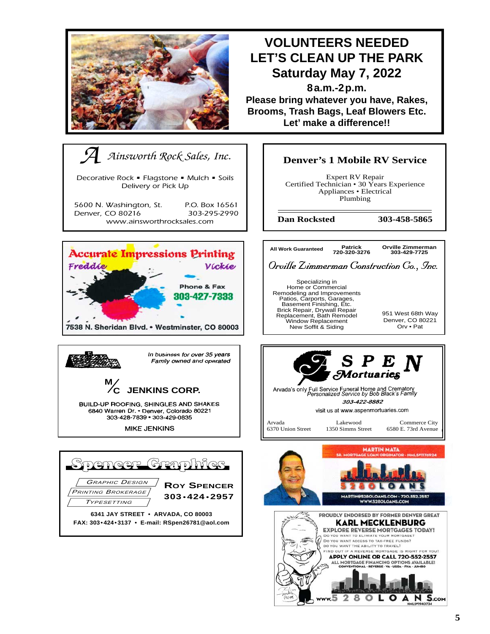

# **VOLUNTEERS NEEDED LET'S CLEAN UP THE PARK Saturday May 7, 2022**

**8a.m.-2p.m. Please bring whatever you have, Rakes, Brooms, Trash Bags, Leaf Blowers Etc. Let' make a difference!!**



**Denver's 1 Mobile RV Service**

Expert RV Repair Certified Technician • 30 Years Experience Appliances • Electrical Plumbing

**Dan Rocksted 303-458-5865**

*Orville Zimmerman Construction Co., Inc.* **All Work Guaranteed 720-320-3276 Orville Zimmerman 303-429-7725**

Specializing in Home or Commercial Remodeling and Improvements Patios, Carports, Garages, Basement Finishing, Etc. Brick Repair, Drywall Repair Replacement, Bath Remodel Window Replacement New Soffit & Siding

951 West 68th Way Denver, CO 80221 Orv • Pat



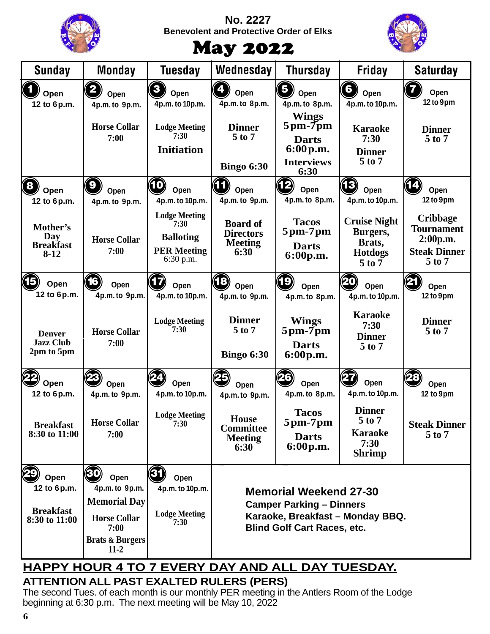|                                                          |                                                                                                                        |                                                                                       | <b>No. 2227</b><br><b>Benevolent and Protective Order of Elks</b><br><b>May 2022</b> |                                                                                                                                            |                                                                           |                                                                                       |
|----------------------------------------------------------|------------------------------------------------------------------------------------------------------------------------|---------------------------------------------------------------------------------------|--------------------------------------------------------------------------------------|--------------------------------------------------------------------------------------------------------------------------------------------|---------------------------------------------------------------------------|---------------------------------------------------------------------------------------|
| <b>Sunday</b>                                            | Monday                                                                                                                 | <b>Tuesday</b>                                                                        | Wednesday                                                                            | <b>Thursday</b>                                                                                                                            | <b>Friday</b>                                                             | <b>Saturday</b>                                                                       |
| Open<br>12 to 6p.m.                                      | Open<br>4p.m. to 9p.m.                                                                                                 | $\overline{\mathbf{3}}$<br>Open<br>4p.m. to 10p.m.                                    | Open<br>4p.m. to 8p.m.                                                               | 5<br>Open<br>4p.m. to 8p.m.                                                                                                                | 6<br>Open<br>4p.m. to 10p.m.                                              | Open<br>12 to 9pm                                                                     |
|                                                          | <b>Horse Collar</b><br>7:00                                                                                            | <b>Lodge Meeting</b><br>7:30<br><b>Initiation</b>                                     | <b>Dinner</b><br>5 to 7<br><b>Bingo 6:30</b>                                         | <b>Wings</b><br>$5 \text{pm}$ - $7 \text{pm}$<br><b>Darts</b><br>6:00 p.m.<br><b>Interviews</b><br>6:30                                    | <b>Karaoke</b><br>7:30<br><b>Dinner</b><br>$5$ to $7$                     | <b>Dinner</b><br>$5$ to $7$                                                           |
| 8<br>Open<br>12 to 6p.m.                                 | 9<br>Open<br>4p.m. to 9p.m.                                                                                            | 10<br>Open<br>4p.m. to 10p.m.                                                         | Open<br>4p.m. to 9p.m.                                                               | 12)<br>Open<br>4p.m. to 8p.m.                                                                                                              | 13)<br>Open<br>4p.m. to 10p.m.                                            | Open<br>12 to 9pm                                                                     |
| Mother's<br>Day<br><b>Breakfast</b><br>$8-12$            | <b>Horse Collar</b><br>7:00                                                                                            | <b>Lodge Meeting</b><br>7:30<br><b>Balloting</b><br><b>PER Meeting</b><br>$6:30$ p.m. | <b>Board of</b><br><b>Directors</b><br><b>Meeting</b><br>6:30                        | <b>Tacos</b><br>$5 \text{pm}$ -7 $\text{pm}$<br><b>Darts</b><br>6:00p.m.                                                                   | <b>Cruise Night</b><br>Burgers,<br>Brats,<br><b>Hotdogs</b><br>$5$ to $7$ | <b>Cribbage</b><br><b>Tournament</b><br>2:00p.m.<br><b>Steak Dinner</b><br>$5$ to $7$ |
| Open<br>12 to 6p.m.                                      | 16<br>Open<br>4p.m. to 9p.m.                                                                                           | Open<br>4p.m. to 10p.m.                                                               | 18<br>Open<br>4p.m. to 9p.m.                                                         | 19<br>Open<br>4p.m. to 8p.m.                                                                                                               | 20<br>Open<br>4p.m. to 10p.m.                                             | Ø<br>Open<br>12 to 9pm                                                                |
| <b>Denver</b><br><b>Jazz Club</b><br>2pm to 5pm          | <b>Horse Collar</b><br>7:00                                                                                            | <b>Lodge Meeting</b><br>7:30                                                          | <b>Dinner</b><br>$5$ to $7$<br><b>Bingo 6:30</b>                                     | <b>Wings</b><br>$5 \text{pm}$ - $7 \text{pm}$<br><b>Darts</b><br>6:00 p.m.                                                                 | <b>Karaoke</b><br>7:30<br><b>Dinner</b><br>$5$ to $7$                     | <b>Dinner</b><br>$5$ to $7$                                                           |
| Open<br>12 to 6p.m.                                      | Open<br>4p.m. to 9p.m.                                                                                                 | Open<br>4p.m. to 10p.m.                                                               | Open<br>4p.m. to 9p.m.                                                               | 26<br>Open<br>4p.m. to 8p.m.                                                                                                               | Open<br>4p.m. to 10p.m.                                                   | Open<br>12 to 9pm                                                                     |
| <b>Breakfast</b><br>8:30 to 11:00                        | <b>Horse Collar</b><br>7:00                                                                                            | <b>Lodge Meeting</b><br>7:30                                                          | <b>House</b><br><b>Committee</b><br><b>Meeting</b><br>6:30                           | <b>Tacos</b><br>$5 \text{pm}$ -7 $\text{pm}$<br><b>Darts</b><br>6:00p.m.                                                                   | <b>Dinner</b><br>$5$ to $7$<br><b>Karaoke</b><br>7:30<br><b>Shrimp</b>    | <b>Steak Dinner</b><br>$5$ to $7$                                                     |
| Open<br>12 to 6p.m.<br><b>Breakfast</b><br>8:30 to 11:00 | Open<br>4p.m. to 9p.m.<br><b>Memorial Day</b><br><b>Horse Collar</b><br>7:00<br><b>Brats &amp; Burgers</b><br>$11 - 2$ | Open<br>4p.m. to 10p.m.<br><b>Lodge Meeting</b><br>7:30                               |                                                                                      | <b>Memorial Weekend 27-30</b><br><b>Camper Parking – Dinners</b><br>Karaoke, Breakfast - Monday BBQ.<br><b>Blind Golf Cart Races, etc.</b> |                                                                           |                                                                                       |

#### **ATTENTION ALL PAST EXALTED RULERS (PERS) HAPPY HOUR 4 TO 7 EVERY DAY AND ALL DAY TUESDAY.**

The second Tues. of each month is our monthly PER meeting in the Antlers Room of the Lodge beginning at 6:30 p.m. The next meeting will be May 10, 2022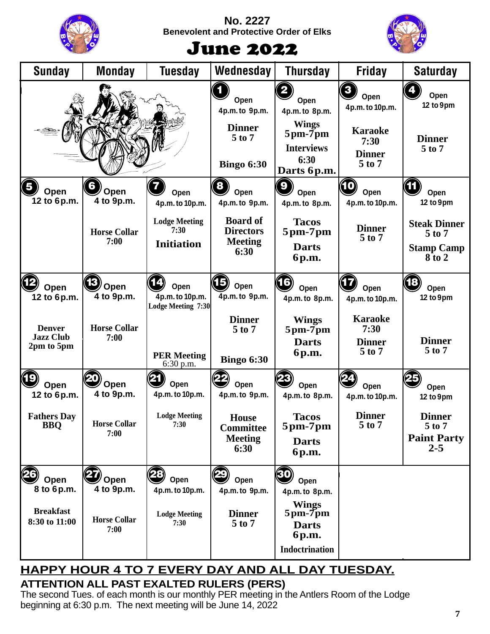

#### **No. 2227 Benevolent and Protective Order of Elks**



# June 2022

| <b>Sunday</b>                                                          | <b>Monday</b>                                           | <b>Tuesday</b>                                                                          | Wednesday                                                                                    | <b>Thursday</b>                                                                                                                 | <b>Friday</b>                                                                         | <b>Saturday</b>                                                                                    |
|------------------------------------------------------------------------|---------------------------------------------------------|-----------------------------------------------------------------------------------------|----------------------------------------------------------------------------------------------|---------------------------------------------------------------------------------------------------------------------------------|---------------------------------------------------------------------------------------|----------------------------------------------------------------------------------------------------|
|                                                                        |                                                         |                                                                                         | 1<br>Open<br>4p.m. to 9p.m.<br><b>Dinner</b><br>$5$ to $7$<br><b>Bingo 6:30</b>              | $\left( \mathbf{2}\right)$<br>Open<br>4p.m. to 8p.m.<br><b>Wings</b><br>5pm-7pm<br><b>Interviews</b><br>6:30                    | 3<br>Open<br>4p.m. to 10p.m.<br><b>Karaoke</b><br>7:30<br><b>Dinner</b><br>$5$ to $7$ | Open<br>12 to 9pm<br><b>Dinner</b><br>$5$ to $7$                                                   |
| $\left(5\right)$<br>Open<br>12 to 6p.m.                                | 6<br>Open<br>4 to 9p.m.<br><b>Horse Collar</b><br>7:00  | Open<br>4p.m. to 10p.m.<br><b>Lodge Meeting</b><br>7:30<br><b>Initiation</b>            | 8<br>Open<br>4p.m. to 9p.m.<br><b>Board of</b><br><b>Directors</b><br><b>Meeting</b><br>6:30 | Darts 6p.m.<br>9<br>Open<br>4p.m. to 8p.m.<br><b>Tacos</b><br>$5$ pm- $7$ pm<br><b>Darts</b><br>6p.m.                           | $\mathbf{D}$<br>Open<br>4p.m. to 10p.m.<br><b>Dinner</b><br>$5$ to $7$                | Œ<br>Open<br>12 to 9pm<br><b>Steak Dinner</b><br>$5$ to $7$<br><b>Stamp Camp</b><br>$8\bar{t}$ o 2 |
| Open<br>12 to 6p.m.<br><b>Denver</b><br><b>Jazz Club</b><br>2pm to 5pm | 13<br>Open<br>4 to 9p.m.<br><b>Horse Collar</b><br>7:00 | Open<br>4p.m. to 10p.m.<br><b>Lodge Meeting 7:30</b><br><b>PER Meeting</b><br>6:30 p.m. | 15<br>Open<br>4p.m. to 9p.m.<br><b>Dinner</b><br>$5$ to $7$<br><b>Bingo 6:30</b>             | 16)<br>Open<br>4p.m. to 8p.m.<br><b>Wings</b><br>$5 \text{pm}$ -7 $\text{pm}$<br><b>Darts</b><br>6p.m.                          | Open<br>4p.m. to 10p.m.<br><b>Karaoke</b><br>7:30<br><b>Dinner</b><br>$5$ to $7$      | 18<br>Open<br>12 to 9pm<br><b>Dinner</b><br>5 to 7                                                 |
| (19<br>Open<br>12 to 6p.m.<br><b>Fathers Day</b><br><b>BBQ</b>         | Open<br>4 to 9p.m.<br><b>Horse Collar</b><br>7:00       | Open<br>4p.m. to 10p.m.<br><b>Lodge Meeting</b><br>7:30                                 | Open<br>4p.m. to 9p.m.<br><b>House</b><br><b>Committee</b><br><b>Meeting</b><br>6:30         | Open<br>4p.m. to 8p.m.<br><b>Tacos</b><br>$5 \text{pm}$ -7 $\text{pm}$<br><b>Darts</b><br>6p.m.                                 | Open<br>4p.m. to 10p.m.<br><b>Dinner</b><br>5 to 7                                    | Open<br>12 to 9pm<br><b>Dinner</b><br>$5$ to $7$<br><b>Paint Party</b><br>$2 - 5$                  |
| Open<br>8 to 6p.m.<br><b>Breakfast</b><br>8:30 to 11:00                | 'Open<br>4 to 9p.m.<br><b>Horse Collar</b><br>7:00      | 28<br>Open<br>4p.m. to 10p.m.<br><b>Lodge Meeting</b><br>7:30                           | Open<br>4p.m. to 9p.m.<br><b>Dinner</b><br>5 to 7                                            | 30<br>Open<br>4p.m. to 8p.m.<br><b>Wings</b><br>$5 \text{pm}$ - $7 \text{pm}$<br><b>Darts</b><br>6p.m.<br><b>Indoctrination</b> |                                                                                       |                                                                                                    |

### **ATTENTION ALL PAST EXALTED RULERS (PERS) HAPPY HOUR 4 TO 7 EVERY DAY AND ALL DAY TUESDAY.**

The second Tues. of each month is our monthly PER meeting in the Antlers Room of the Lodge beginning at 6:30 p.m. The next meeting will be June 14, 2022